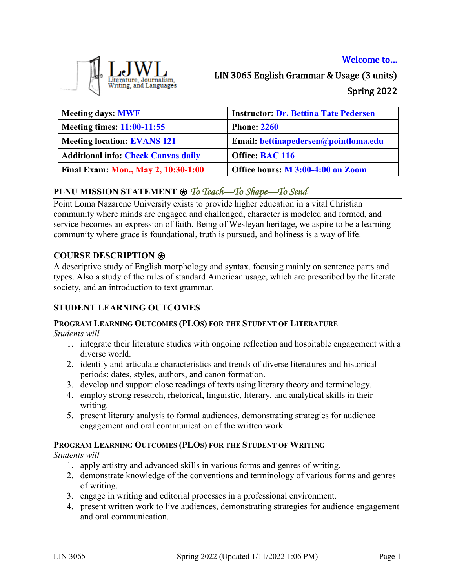# Welcome to…



LIN 3065 English Grammar & Usage (3 units) Spring 2022

| <b>Meeting days: MWF</b>                   | <b>Instructor: Dr. Bettina Tate Pedersen</b> |
|--------------------------------------------|----------------------------------------------|
| Meeting times: $11:00-11:55$               | <b>Phone: 2260</b>                           |
| Meeting location: EVANS 121                | <b>Email:</b> bettinapedersen@pointloma.edu  |
| <b>Additional info: Check Canvas daily</b> | Office: BAC 116                              |
| <b>Final Exam: Mon., May 2, 10:30-1:00</b> | Office hours: M 3:00-4:00 on Zoom            |

# **PLNU MISSION STATEMENT** ⍟ *To Teach—To Shape—To Send*

Point Loma Nazarene University exists to provide higher education in a vital Christian community where minds are engaged and challenged, character is modeled and formed, and service becomes an expression of faith. Being of Wesleyan heritage, we aspire to be a learning community where grace is foundational, truth is pursued, and holiness is a way of life.

# **COURSE DESCRIPTION** ⍟

A descriptive study of English morphology and syntax, focusing mainly on sentence parts and types. Also a study of the rules of standard American usage, which are prescribed by the literate society, and an introduction to text grammar.

## **STUDENT LEARNING OUTCOMES**

### **PROGRAM LEARNING OUTCOMES (PLOS) FOR THE STUDENT OF LITERATURE**

*Students will*

- 1. integrate their literature studies with ongoing reflection and hospitable engagement with a diverse world.
- 2. identify and articulate characteristics and trends of diverse literatures and historical periods: dates, styles, authors, and canon formation.
- 3. develop and support close readings of texts using literary theory and terminology.
- 4. employ strong research, rhetorical, linguistic, literary, and analytical skills in their writing.
- 5. present literary analysis to formal audiences, demonstrating strategies for audience engagement and oral communication of the written work.

### **PROGRAM LEARNING OUTCOMES (PLOS) FOR THE STUDENT OF WRITING**

*Students will*

- 1. apply artistry and advanced skills in various forms and genres of writing.
- 2. demonstrate knowledge of the conventions and terminology of various forms and genres of writing.
- 3. engage in writing and editorial processes in a professional environment.
- 4. present written work to live audiences, demonstrating strategies for audience engagement and oral communication.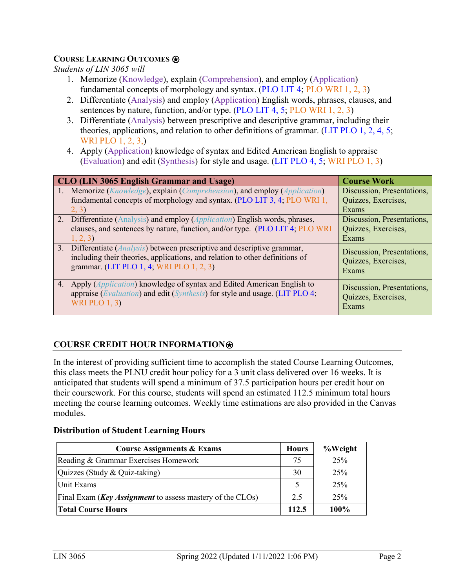### **COURSE LEARNING OUTCOMES** ⍟

*Students of LIN 3065 will* 

- 1. Memorize (Knowledge), explain (Comprehension), and employ (Application) fundamental concepts of morphology and syntax. (PLO LIT 4; PLO WRI 1, 2, 3)
- 2. Differentiate (Analysis) and employ (Application) English words, phrases, clauses, and sentences by nature, function, and/or type. (PLO LIT 4, 5; PLO WRI 1, 2, 3)
- 3. Differentiate (Analysis) between prescriptive and descriptive grammar, including their theories, applications, and relation to other definitions of grammar. (LIT PLO 1, 2, 4, 5; WRI PLO 1, 2, 3,)
- 4. Apply (Application) knowledge of syntax and Edited American English to appraise (Evaluation) and edit (Synthesis) for style and usage. (LIT PLO 4, 5; WRI PLO 1, 3)

| <b>CLO (LIN 3065 English Grammar and Usage)</b>                                                                                                                                                       | <b>Course Work</b>                                         |
|-------------------------------------------------------------------------------------------------------------------------------------------------------------------------------------------------------|------------------------------------------------------------|
| 1. Memorize ( <i>Knowledge</i> ), explain ( <i>Comprehension</i> ), and employ ( <i>Application</i> )                                                                                                 | Discussion, Presentations,                                 |
| fundamental concepts of morphology and syntax. (PLO LIT 3, 4; PLO WRI 1,                                                                                                                              | Quizzes, Exercises,                                        |
| 2, 3)                                                                                                                                                                                                 | Exams                                                      |
| 2. Differentiate (Analysis) and employ ( <i>Application</i> ) English words, phrases,                                                                                                                 | Discussion, Presentations,                                 |
| clauses, and sentences by nature, function, and/or type. (PLO LIT 4; PLO WRI                                                                                                                          | Quizzes, Exercises,                                        |
| 1, 2, 3)                                                                                                                                                                                              | Exams                                                      |
| 3. Differentiate (Analysis) between prescriptive and descriptive grammar,<br>including their theories, applications, and relation to other definitions of<br>grammar. (LIT PLO 1, 4; WRI PLO 1, 2, 3) | Discussion, Presentations,<br>Quizzes, Exercises,<br>Exams |
| 4. Apply ( <i>Application</i> ) knowledge of syntax and Edited American English to<br>appraise (Evaluation) and edit (Synthesis) for style and usage. (LIT PLO 4;<br>WRIPLO $1, 3$                    | Discussion, Presentations,<br>Quizzes, Exercises,<br>Exams |

## **COURSE CREDIT HOUR INFORMATION**⍟

In the interest of providing sufficient time to accomplish the stated Course Learning Outcomes, this class meets the PLNU credit hour policy for a 3 unit class delivered over 16 weeks. It is anticipated that students will spend a minimum of 37.5 participation hours per credit hour on their coursework. For this course, students will spend an estimated 112.5 minimum total hours meeting the course learning outcomes. Weekly time estimations are also provided in the Canvas modules.

#### **Distribution of Student Learning Hours**

| <b>Course Assignments &amp; Exams</b>                                       | <b>Hours</b> | %Weight |
|-----------------------------------------------------------------------------|--------------|---------|
| Reading & Grammar Exercises Homework                                        | 75           | 25%     |
| Quizzes (Study & Quiz-taking)                                               | 30           | 25%     |
| Unit Exams                                                                  |              | 25%     |
| Final Exam ( <i>Key Assignment</i> to assess mastery of the $\text{CLOS}$ ) | 2.5          | 25%     |
| <b>Total Course Hours</b>                                                   | 112.5        | 100%    |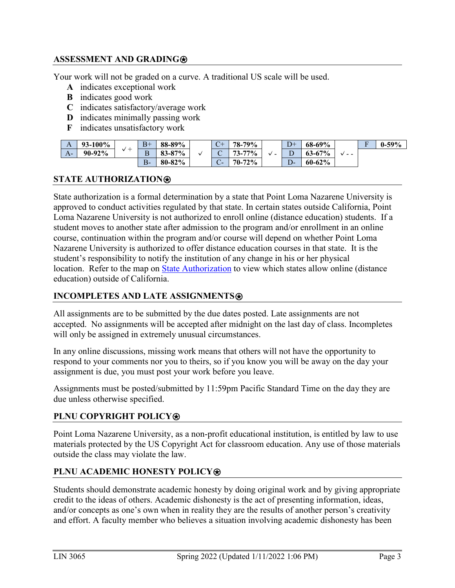### **ASSESSMENT AND GRADING**⍟

Your work will not be graded on a curve. A traditional US scale will be used.

- **A** indicates exceptional work
- **B** indicates good work
- **C** indicates satisfactory/average work
- **D** indicates minimally passing work
- **F** indicates unsatisfactory work

| A    | $-3-100\%$ |                   | $B+$                | 88-89% | $\Omega$<br>$\sim$ | 79%<br>78-       |                 | $D+$           | 68-69%          |      | $\mathbf{r}$ | $0 - 59\%$ |
|------|------------|-------------------|---------------------|--------|--------------------|------------------|-----------------|----------------|-----------------|------|--------------|------------|
| $A-$ | $90-92\%$  | -<br>$\checkmark$ | $\blacksquare$<br>∸ | 83-87% | $\check{ }$        | 77%<br>72<br>- ت | $\sqrt{ }$<br>- | ╌              | 67%<br>$03 - 0$ | $ -$ |              |            |
|      |            |                   | $R_{-}$<br>◡        | 80-82% | $\sim$             | $72\%$<br>$70-$  |                 | $\overline{D}$ | $60 - 62\%$     |      |              |            |

### **STATE AUTHORIZATION**⍟

State authorization is a formal determination by a state that Point Loma Nazarene University is approved to conduct activities regulated by that state. In certain states outside California, Point Loma Nazarene University is not authorized to enroll online (distance education) students. If a student moves to another state after admission to the program and/or enrollment in an online course, continuation within the program and/or course will depend on whether Point Loma Nazarene University is authorized to offer distance education courses in that state. It is the student's responsibility to notify the institution of any change in his or her physical location. Refer to the map on [State Authorization](https://www.pointloma.edu/offices/office-institutional-effectiveness-research/disclosures) to view which states allow online (distance education) outside of California.

### **INCOMPLETES AND LATE ASSIGNMENTS**

All assignments are to be submitted by the due dates posted. Late assignments are not accepted. No assignments will be accepted after midnight on the last day of class. Incompletes will only be assigned in extremely unusual circumstances.

In any online discussions, missing work means that others will not have the opportunity to respond to your comments nor you to theirs, so if you know you will be away on the day your assignment is due, you must post your work before you leave.

Assignments must be posted/submitted by 11:59pm Pacific Standard Time on the day they are due unless otherwise specified.

### **PLNU COPYRIGHT POLICY**⍟

Point Loma Nazarene University, as a non-profit educational institution, is entitled by law to use materials protected by the US Copyright Act for classroom education. Any use of those materials outside the class may violate the law.

### **PLNU ACADEMIC HONESTY POLICY<sup>®</sup>**

Students should demonstrate academic honesty by doing original work and by giving appropriate credit to the ideas of others. Academic dishonesty is the act of presenting information, ideas, and/or concepts as one's own when in reality they are the results of another person's creativity and effort. A faculty member who believes a situation involving academic dishonesty has been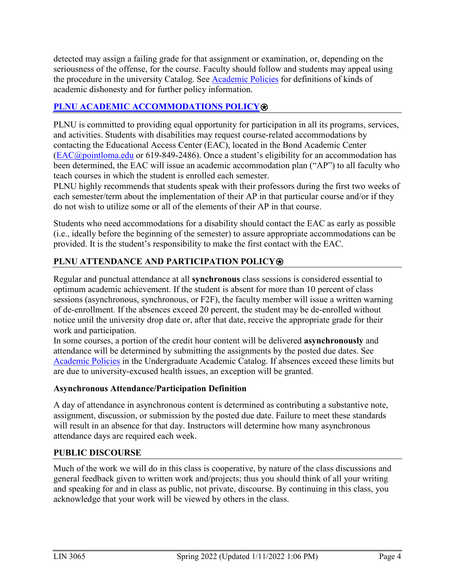detected may assign a failing grade for that assignment or examination, or, depending on the seriousness of the offense, for the course. Faculty should follow and students may appeal using the procedure in the university Catalog. See **[Academic Policies](https://catalog.pointloma.edu/content.php?catoid=52&navoid=2919)** for definitions of kinds of academic dishonesty and for further policy information.

# **[PLNU ACADEMIC ACCOMMODATIONS POLICY](https://catalog.pointloma.edu/content.php?catoid=52&navoid=2919#Academic_Accommodations)®**

PLNU is committed to providing equal opportunity for participation in all its programs, services, and activities. Students with disabilities may request course-related accommodations by contacting the Educational Access Center (EAC), located in the Bond Academic Center [\(EAC@pointloma.edu](mailto:EAC@pointloma.edu) or 619-849-2486). Once a student's eligibility for an accommodation has been determined, the EAC will issue an academic accommodation plan ("AP") to all faculty who teach courses in which the student is enrolled each semester.

PLNU highly recommends that students speak with their professors during the first two weeks of each semester/term about the implementation of their AP in that particular course and/or if they do not wish to utilize some or all of the elements of their AP in that course.

Students who need accommodations for a disability should contact the EAC as early as possible (i.e., ideally before the beginning of the semester) to assure appropriate accommodations can be provided. It is the student's responsibility to make the first contact with the EAC.

# **PLNU ATTENDANCE AND PARTICIPATION POLICY**⍟

Regular and punctual attendance at all **synchronous** class sessions is considered essential to optimum academic achievement. If the student is absent for more than 10 percent of class sessions (asynchronous, synchronous, or F2F), the faculty member will issue a written warning of de-enrollment. If the absences exceed 20 percent, the student may be de-enrolled without notice until the university drop date or, after that date, receive the appropriate grade for their work and participation.

In some courses, a portion of the credit hour content will be delivered **asynchronously** and attendance will be determined by submitting the assignments by the posted due dates. See [Academic](https://catalog.pointloma.edu/content.php?catoid=52&navoid=2919#Class_Attendance) Policies in the Undergraduate Academic Catalog. If absences exceed these limits but are due to university-excused health issues, an exception will be granted.

### **Asynchronous Attendance/Participation Definition**

A day of attendance in asynchronous content is determined as contributing a substantive note, assignment, discussion, or submission by the posted due date. Failure to meet these standards will result in an absence for that day. Instructors will determine how many asynchronous attendance days are required each week.

### **PUBLIC DISCOURSE**

Much of the work we will do in this class is cooperative, by nature of the class discussions and general feedback given to written work and/projects; thus you should think of all your writing and speaking for and in class as public, not private, discourse. By continuing in this class, you acknowledge that your work will be viewed by others in the class.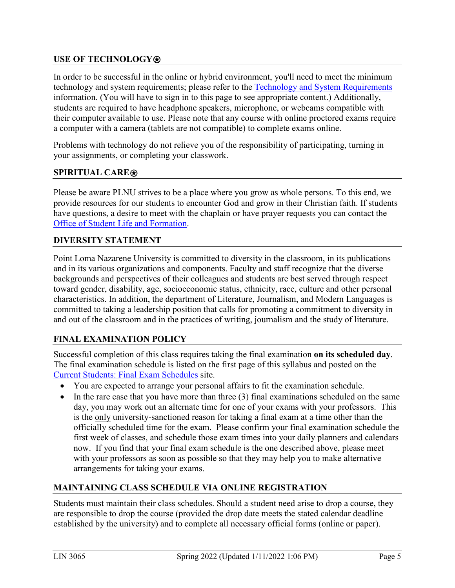## **USE OF TECHNOLOGY**⍟

In order to be successful in the online or hybrid environment, you'll need to meet the minimum technology and system requirements; please refer to the [Technology and System Requirements](https://help.pointloma.edu/TDClient/1808/Portal/KB/ArticleDet?ID=108349) information. (You will have to sign in to this page to see appropriate content.) Additionally, students are required to have headphone speakers, microphone, or webcams compatible with their computer available to use. Please note that any course with online proctored exams require a computer with a camera (tablets are not compatible) to complete exams online.

Problems with technology do not relieve you of the responsibility of participating, turning in your assignments, or completing your classwork.

### **SPIRITUAL CARE**⍟

Please be aware PLNU strives to be a place where you grow as whole persons. To this end, we provide resources for our students to encounter God and grow in their Christian faith. If students have questions, a desire to meet with the chaplain or have prayer requests you can contact the Office of Student Life and [Formation.](https://www.pointloma.edu/offices/student-life-formation)

### **DIVERSITY STATEMENT**

Point Loma Nazarene University is committed to diversity in the classroom, in its publications and in its various organizations and components. Faculty and staff recognize that the diverse backgrounds and perspectives of their colleagues and students are best served through respect toward gender, disability, age, socioeconomic status, ethnicity, race, culture and other personal characteristics. In addition, the department of Literature, Journalism, and Modern Languages is committed to taking a leadership position that calls for promoting a commitment to diversity in and out of the classroom and in the practices of writing, journalism and the study of literature.

### **FINAL EXAMINATION POLICY**

Successful completion of this class requires taking the final examination **on its scheduled day**. The final examination schedule is listed on the first page of this syllabus and posted on the [Current Students: Final Exam Schedules](https://www.pointloma.edu/current-students) site.

- You are expected to arrange your personal affairs to fit the examination schedule.
- In the rare case that you have more than three (3) final examinations scheduled on the same day, you may work out an alternate time for one of your exams with your professors. This is the only university-sanctioned reason for taking a final exam at a time other than the officially scheduled time for the exam. Please confirm your final examination schedule the first week of classes, and schedule those exam times into your daily planners and calendars now. If you find that your final exam schedule is the one described above, please meet with your professors as soon as possible so that they may help you to make alternative arrangements for taking your exams.

### **MAINTAINING CLASS SCHEDULE VIA ONLINE REGISTRATION**

Students must maintain their class schedules. Should a student need arise to drop a course, they are responsible to drop the course (provided the drop date meets the stated calendar deadline established by the university) and to complete all necessary official forms (online or paper).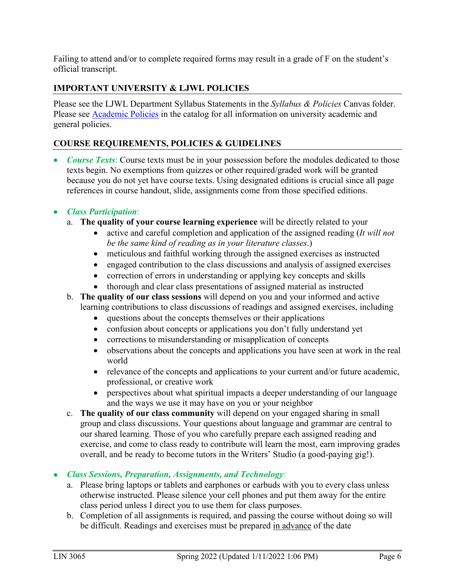Failing to attend and/or to complete required forms may result in a grade of F on the student's official transcript.

## **IMPORTANT UNIVERSITY & LJWL POLICIES**

Please see the LJWL Department Syllabus Statements in the *Syllabus & Policies* Canvas folder. Please see **Academic Policies** in the catalog for all information on university academic and general policies.

## **COURSE REQUIREMENTS, POLICIES & GUIDELINES**

• *Course Texts*: Course texts must be in your possession before the modules dedicated to those texts begin. No exemptions from quizzes or other required/graded work will be granted because you do not yet have course texts. Using designated editions is crucial since all page references in course handout, slide, assignments come from those specified editions.

#### • *Class Participation*:

- a. **The quality of your course learning experience** will be directly related to your
	- active and careful completion and application of the assigned reading (*It will not be the same kind of reading as in your literature classes*.)
	- meticulous and faithful working through the assigned exercises as instructed
	- engaged contribution to the class discussions and analysis of assigned exercises
	- correction of errors in understanding or applying key concepts and skills
	- thorough and clear class presentations of assigned material as instructed
- b. **The quality of our class sessions** will depend on you and your informed and active learning contributions to class discussions of readings and assigned exercises, including
	- questions about the concepts themselves or their applications
	- confusion about concepts or applications you don't fully understand yet
	- corrections to misunderstanding or misapplication of concepts
	- observations about the concepts and applications you have seen at work in the real world
	- relevance of the concepts and applications to your current and/or future academic, professional, or creative work
	- perspectives about what spiritual impacts a deeper understanding of our language and the ways we use it may have on you or your neighbor
- c. **The quality of our class community** will depend on your engaged sharing in small group and class discussions. Your questions about language and grammar are central to our shared learning. Those of you who carefully prepare each assigned reading and exercise, and come to class ready to contribute will learn the most, earn improving grades overall, and be ready to become tutors in the Writers' Studio (a good-paying gig!).

### • *Class Sessions, Preparation, Assignments, and Technology*:

- a. Please bring laptops or tablets and earphones or earbuds with you to every class unless otherwise instructed. Please silence your cell phones and put them away for the entire class period unless I direct you to use them for class purposes.
- b. Completion of all assignments is required, and passing the course without doing so will be difficult. Readings and exercises must be prepared in advance of the date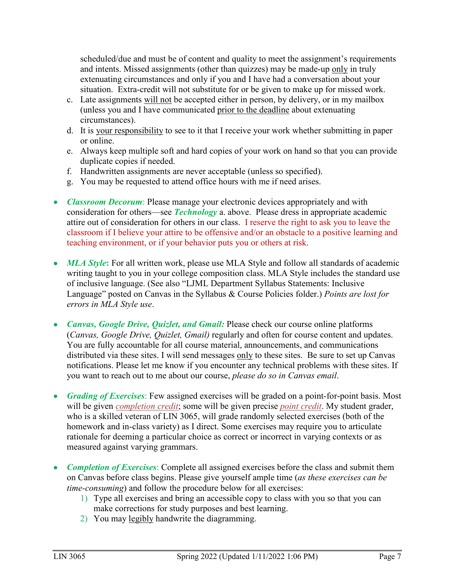scheduled/due and must be of content and quality to meet the assignment's requirements and intents. Missed assignments (other than quizzes) may be made-up only in truly extenuating circumstances and only if you and I have had a conversation about your situation. Extra-credit will not substitute for or be given to make up for missed work.

- c. Late assignments will not be accepted either in person, by delivery, or in my mailbox (unless you and I have communicated prior to the deadline about extenuating circumstances).
- d. It is your responsibility to see to it that I receive your work whether submitting in paper or online.
- e. Always keep multiple soft and hard copies of your work on hand so that you can provide duplicate copies if needed.
- f. Handwritten assignments are never acceptable (unless so specified).
- g. You may be requested to attend office hours with me if need arises.
- *Classroom Decorum*: Please manage your electronic devices appropriately and with consideration for others—see *Technology* a. above. Please dress in appropriate academic attire out of consideration for others in our class. I reserve the right to ask you to leave the classroom if I believe your attire to be offensive and/or an obstacle to a positive learning and teaching environment, or if your behavior puts you or others at risk.
- *MLA Style*: For all written work, please use MLA Style and follow all standards of academic writing taught to you in your college composition class. MLA Style includes the standard use of inclusive language. (See also "LJML Department Syllabus Statements: Inclusive Language" posted on Canvas in the Syllabus & Course Policies folder.) *Points are lost for errors in MLA Style use*.
- *Canvas, Google Drive, Quizlet, and Gmail:* Please check our course online platforms (*Canvas, Google Drive, Quizlet, Gmail)* regularly and often for course content and updates. You are fully accountable for all course material, announcements, and communications distributed via these sites. I will send messages only to these sites. Be sure to set up Canvas notifications. Please let me know if you encounter any technical problems with these sites. If you want to reach out to me about our course, *please do so in Canvas email*.
- *Grading of Exercises*: Few assigned exercises will be graded on a point-for-point basis. Most will be given *completion credit*; some will be given precise *point credit*. My student grader, who is a skilled veteran of LIN 3065, will grade randomly selected exercises (both of the homework and in-class variety) as I direct. Some exercises may require you to articulate rationale for deeming a particular choice as correct or incorrect in varying contexts or as measured against varying grammars.
- *Completion of Exercises*: Complete all assigned exercises before the class and submit them on Canvas before class begins. Please give yourself ample time (*as these exercises can be time-consuming*) and follow the procedure below for all exercises:
	- 1) Type all exercises and bring an accessible copy to class with you so that you can make corrections for study purposes and best learning.
	- 2) You may legibly handwrite the diagramming.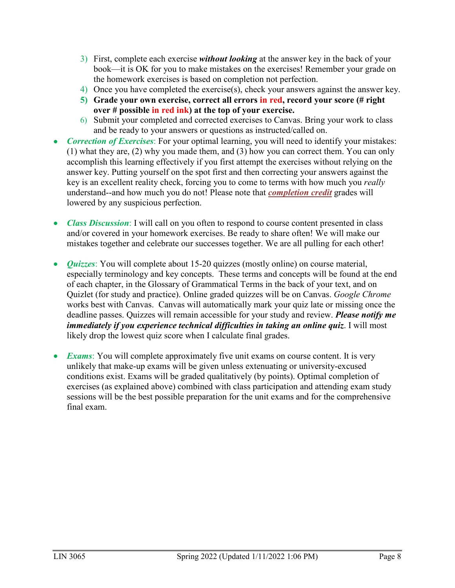- 3) First, complete each exercise *without looking* at the answer key in the back of your book—it is OK for you to make mistakes on the exercises! Remember your grade on the homework exercises is based on completion not perfection.
- 4) Once you have completed the exercise(s), check your answers against the answer key.
- **5) Grade your own exercise, correct all errors in red, record your score (# right over # possible in red ink) at the top of your exercise.**
- 6) Submit your completed and corrected exercises to Canvas. Bring your work to class and be ready to your answers or questions as instructed/called on.
- *Correction of Exercises*: For your optimal learning, you will need to identify your mistakes: (1) what they are, (2) why you made them, and (3) how you can correct them. You can only accomplish this learning effectively if you first attempt the exercises without relying on the answer key. Putting yourself on the spot first and then correcting your answers against the key is an excellent reality check, forcing you to come to terms with how much you *really* understand--and how much you do not! Please note that *completion credit* grades will lowered by any suspicious perfection.
- *Class Discussion*: I will call on you often to respond to course content presented in class and/or covered in your homework exercises. Be ready to share often! We will make our mistakes together and celebrate our successes together. We are all pulling for each other!
- *Quizzes*: You will complete about 15-20 quizzes (mostly online) on course material, especially terminology and key concepts. These terms and concepts will be found at the end of each chapter, in the Glossary of Grammatical Terms in the back of your text, and on Quizlet (for study and practice). Online graded quizzes will be on Canvas. *Google Chrome* works best with Canvas. Canvas will automatically mark your quiz late or missing once the deadline passes. Quizzes will remain accessible for your study and review. *Please notify me immediately if you experience technical difficulties in taking an online quiz*. I will most likely drop the lowest quiz score when I calculate final grades.
- *Exams*: You will complete approximately five unit exams on course content. It is very unlikely that make-up exams will be given unless extenuating or university-excused conditions exist. Exams will be graded qualitatively (by points). Optimal completion of exercises (as explained above) combined with class participation and attending exam study sessions will be the best possible preparation for the unit exams and for the comprehensive final exam.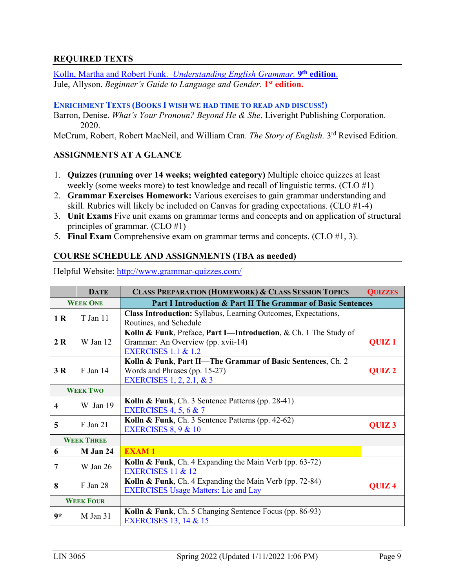### **REQUIRED TEXTS**

Kolln, Martha and Robert Funk. *[Understanding English Grammar.](https://anyflip.com/gtoqu/jpnv)* **9th edition**. Jule, Allyson. *Beginner's Guide to Language and Gender*. **1st edition.**

#### **ENRICHMENT TEXTS (BOOKS I WISH WE HAD TIME TO READ AND DISCUSS!)**

Barron, Denise. *What's Your Pronoun? Beyond He & She*. Liveright Publishing Corporation. 2020.

McCrum, Robert, Robert MacNeil, and William Cran. *The Story of English.* 3rd Revised Edition.

### **ASSIGNMENTS AT A GLANCE**

- 1. **Quizzes (running over 14 weeks; weighted category)** Multiple choice quizzes at least weekly (some weeks more) to test knowledge and recall of linguistic terms. (CLO #1)
- 2. **Grammar Exercises Homework:** Various exercises to gain grammar understanding and skill. Rubrics will likely be included on Canvas for grading expectations. (CLO #1-4)
- 3. **Unit Exams** Five unit exams on grammar terms and concepts and on application of structural principles of grammar. (CLO #1)
- 5. **Final Exam** Comprehensive exam on grammar terms and concepts. (CLO #1, 3).

### **COURSE SCHEDULE AND ASSIGNMENTS (TBA as needed)**

|                         | <b>DATE</b>     | <b>CLASS PREPARATION (HOMEWORK) &amp; CLASS SESSION TOPICS</b>                                                                           | <b>QUIZZES</b>    |  |  |  |
|-------------------------|-----------------|------------------------------------------------------------------------------------------------------------------------------------------|-------------------|--|--|--|
| <b>WEEK ONE</b>         |                 | Part I Introduction & Part II The Grammar of Basic Sentences                                                                             |                   |  |  |  |
| 1 <sub>R</sub>          | T Jan 11        | Class Introduction: Syllabus, Learning Outcomes, Expectations,<br>Routines, and Schedule                                                 |                   |  |  |  |
| 2R                      | W Jan 12        | Kolln & Funk, Preface, Part I-Introduction, & Ch. 1 The Study of<br>Grammar: An Overview (pp. xvii-14)<br><b>EXERCISES 1.1 &amp; 1.2</b> | QUIZ <sub>1</sub> |  |  |  |
| 3R<br>F Jan 14          |                 | Kolln & Funk, Part II—The Grammar of Basic Sentences, Ch. 2<br>Words and Phrases (pp. 15-27)<br><b>EXERCISES</b> 1, 2, 2.1, & 3          | QUIZ <sub>2</sub> |  |  |  |
|                         | <b>WEEK TWO</b> |                                                                                                                                          |                   |  |  |  |
| $\overline{\mathbf{4}}$ | W Jan 19        | Kolln & Funk, Ch. 3 Sentence Patterns (pp. 28-41)<br><b>EXERCISES 4, 5, 6 &amp; 7</b>                                                    |                   |  |  |  |
| 5                       | F Jan 21        | Kolln & Funk, Ch. 3 Sentence Patterns (pp. 42-62)<br>EXERCISES $8, 9 & 10$                                                               | QUIZ <sub>3</sub> |  |  |  |
| <b>WEEK THREE</b>       |                 |                                                                                                                                          |                   |  |  |  |
| 6                       | M Jan 24        | <b>EXAM1</b>                                                                                                                             |                   |  |  |  |
| 7                       | W Jan 26        | Kolln & Funk, Ch. 4 Expanding the Main Verb (pp. 63-72)<br><b>EXERCISES 11 &amp; 12</b>                                                  |                   |  |  |  |
| 8                       | $F$ Jan 28      | Kolln & Funk, Ch. 4 Expanding the Main Verb (pp. 72-84)<br><b>EXERCISES Usage Matters: Lie and Lay</b>                                   | QUIZ <sub>4</sub> |  |  |  |
| <b>WEEK FOUR</b>        |                 |                                                                                                                                          |                   |  |  |  |
| $9*$                    | M Jan 31        | Kolln & Funk, Ch. 5 Changing Sentence Focus (pp. 86-93)<br><b>EXERCISES 13, 14 &amp; 15</b>                                              |                   |  |  |  |

Helpful Website:<http://www.grammar-quizzes.com/>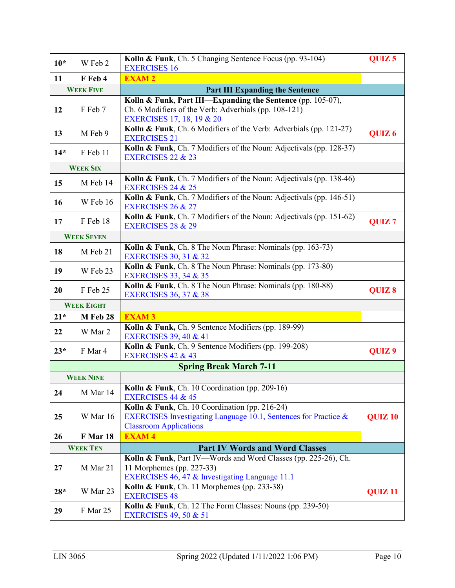| $10*$           | W Feb 2           | Kolln & Funk, Ch. 5 Changing Sentence Focus (pp. 93-104)<br><b>EXERCISES 16</b>                                                                              | QUIZ <sub>5</sub>  |
|-----------------|-------------------|--------------------------------------------------------------------------------------------------------------------------------------------------------------|--------------------|
| 11              | F Feb 4           | <b>EXAM2</b>                                                                                                                                                 |                    |
|                 | <b>WEEK FIVE</b>  | <b>Part III Expanding the Sentence</b>                                                                                                                       |                    |
| 12              | F Feb 7           | Kolln & Funk, Part III—Expanding the Sentence (pp. 105-07),<br>Ch. 6 Modifiers of the Verb: Adverbials (pp. 108-121)<br><b>EXERCISES 17, 18, 19 &amp; 20</b> |                    |
| 13              | M Feb 9           | Kolln & Funk, Ch. 6 Modifiers of the Verb: Adverbials (pp. 121-27)<br><b>EXERCISES 21</b>                                                                    | QUIZ <sub>6</sub>  |
| $14*$           | F Feb 11          | Kolln & Funk, Ch. 7 Modifiers of the Noun: Adjectivals (pp. 128-37)<br><b>EXERCISES 22 &amp; 23</b>                                                          |                    |
|                 | <b>WEEK SIX</b>   |                                                                                                                                                              |                    |
| 15              | M Feb 14          | Kolln & Funk, Ch. 7 Modifiers of the Noun: Adjectivals (pp. 138-46)<br><b>EXERCISES 24 &amp; 25</b>                                                          |                    |
| 16              | W Feb 16          | Kolln & Funk, Ch. 7 Modifiers of the Noun: Adjectivals (pp. 146-51)<br><b>EXERCISES 26 &amp; 27</b>                                                          |                    |
| 17              | F Feb 18          | Kolln & Funk, Ch. 7 Modifiers of the Noun: Adjectivals (pp. 151-62)<br><b>EXERCISES 28 &amp; 29</b>                                                          | QUIZ <sub>7</sub>  |
|                 | <b>WEEK SEVEN</b> |                                                                                                                                                              |                    |
| 18              | M Feb 21          | Kolln & Funk, Ch. 8 The Noun Phrase: Nominals (pp. 163-73)<br><b>EXERCISES 30, 31 &amp; 32</b>                                                               |                    |
| 19              | W Feb 23          | Kolln & Funk, Ch. 8 The Noun Phrase: Nominals (pp. 173-80)<br><b>EXERCISES 33, 34 &amp; 35</b>                                                               |                    |
| 20              | F Feb 25          | Kolln & Funk, Ch. 8 The Noun Phrase: Nominals (pp. 180-88)<br><b>EXERCISES 36, 37 &amp; 38</b>                                                               | QUIZ 8             |
|                 | <b>WEEK EIGHT</b> |                                                                                                                                                              |                    |
| $21*$           | M Feb 28          | <b>EXAM 3</b>                                                                                                                                                |                    |
| 22              | W Mar 2           | Kolln & Funk, Ch. 9 Sentence Modifiers (pp. 189-99)<br><b>EXERCISES 39, 40 &amp; 41</b>                                                                      |                    |
| $23*$           | F Mar 4           | Kolln & Funk, Ch. 9 Sentence Modifiers (pp. 199-208)<br><b>EXERCISES 42 &amp; 43</b>                                                                         | QUIZ <sub>9</sub>  |
|                 |                   | <b>Spring Break March 7-11</b>                                                                                                                               |                    |
|                 | <b>WEEK NINE</b>  |                                                                                                                                                              |                    |
| 24              | M Mar 14          | <b>Kolln &amp; Funk</b> , Ch. 10 Coordination (pp. 209-16)<br><b>EXERCISES 44 &amp; 45</b>                                                                   |                    |
| 25              | W Mar 16          | Kolln & Funk, Ch. 10 Coordination (pp. 216-24)<br>EXERCISES Investigating Language 10.1, Sentences for Practice &<br><b>Classroom Applications</b>           | <b>QUIZ 10</b>     |
| 26              | F Mar 18          | <b>EXAM4</b>                                                                                                                                                 |                    |
| <b>WEEK TEN</b> |                   | <b>Part IV Words and Word Classes</b>                                                                                                                        |                    |
| 27<br>M Mar 21  |                   | Kolln & Funk, Part IV—Words and Word Classes (pp. 225-26), Ch.<br>11 Morphemes (pp. 227-33)<br>EXERCISES 46, 47 & Investigating Language 11.1                |                    |
| $28*$           | W Mar 23          | Kolln & Funk, Ch. 11 Morphemes (pp. 233-38)<br><b>EXERCISES 48</b>                                                                                           | QUIZ <sub>11</sub> |
| 29              | F Mar 25          | Kolln & Funk, Ch. 12 The Form Classes: Nouns (pp. 239-50)<br><b>EXERCISES 49, 50 &amp; 51</b>                                                                |                    |